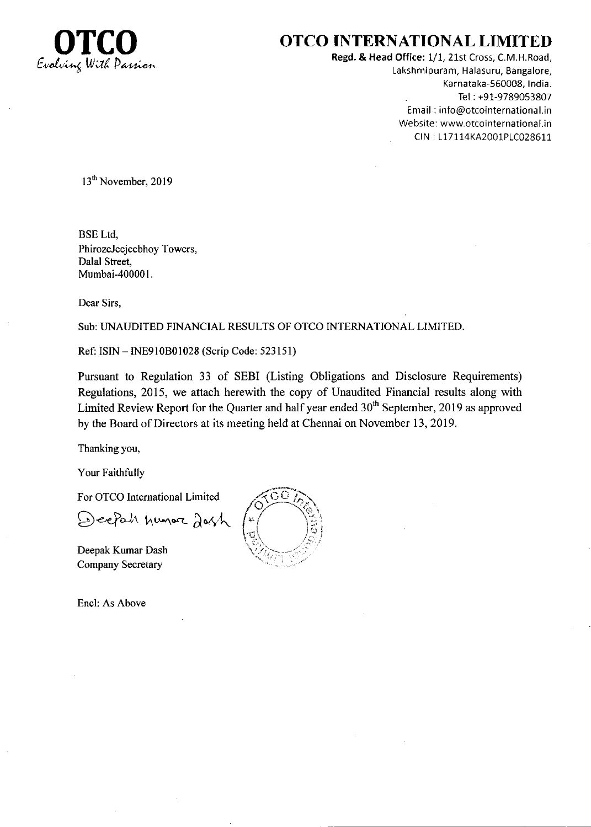

# OTCO INTERNATIONAL LIMITED

Regd. & Head Office: 1/1, 21st Cross, C.M.H.Road, Lakshmipuram, Halasuru, Bangalore, Karnataka-560008, India. Tel: +91-9789053807 Email : info@otcointernational.ir Website: www.otcointernational.i CrN : 117114KA2001PIC028611

13<sup>th</sup> November, 2019

BSE Ltd, PhirozeJeejeebhoy Towers, Dalal Street, Mumbai-400001.

Dear Sirs.

Sub: UNAUDITED FINANCIAL RESULTS OF OTCO INTERNATIONAL LIMITED

Ref: ISIN - INE9IOBOI028 (Scrip Code: 523151)

Pursuant to Regulation 33 of SEBI (Listing Obligations and Disclosure Requirements) Regulations, 2015, we attach herewith the copy of Unaudited Financial results along with Limited Review Report for the Quarter and half year ended  $30<sup>th</sup>$  September, 2019 as approved by the Board of Directors at its meeting held at Chennai on November 13,2019.

Thanking you,

Your Faithfully

For OTCO International Limited

Deepah humore dosh

Deepak Kumar Dash Company Secretary

Encl: As Above

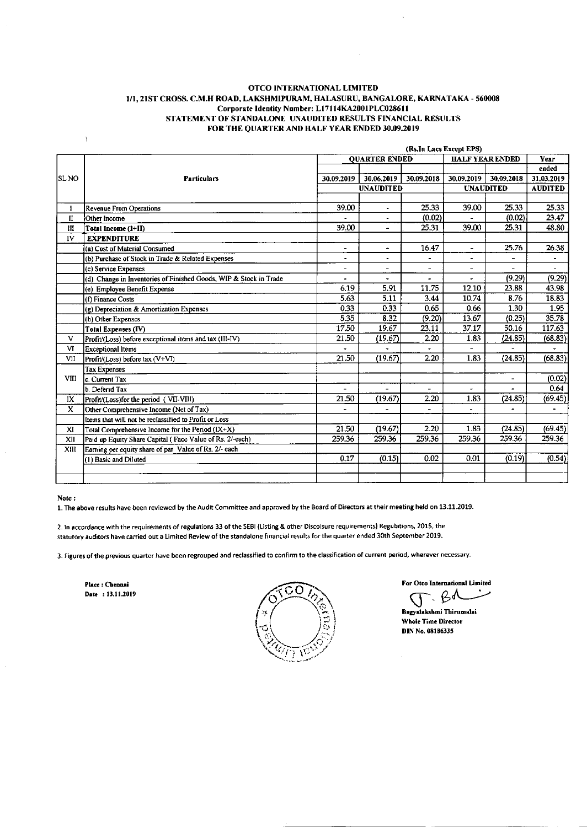#### OTCO INTERNATIONAL LIMITED 1/1, 21ST CROSS. C.M.H ROAD, LAKSHMIPURAM, HALASURU, BANGALORE, KARNATAKA - 560008 Corporate Identity Number: L17114KA2001PLC028611 STATEMENT OF STANDALONE UNAUDITED RESULTS FINANCIAL RESULTS FOR THE QUARTER AND HALF YEAR ENDED 30.09.2019

|              |                                                                   | (Rs.In Lacs Except EPS) |                          |                |                        |                          |                |
|--------------|-------------------------------------------------------------------|-------------------------|--------------------------|----------------|------------------------|--------------------------|----------------|
|              |                                                                   | <b>OUARTER ENDED</b>    |                          |                | <b>HALF YEAR ENDED</b> |                          | <b>Year</b>    |
|              |                                                                   |                         |                          |                |                        |                          | ended          |
| SL NO        | <b>Particulars</b>                                                | 30.09.2019              | 30.06.2019               | 30.09.2018     | 30.09.2019             | 30.09.2018               | 31,03,2019     |
|              |                                                                   |                         | <b>UNAUDITED</b>         |                |                        | <b>UNAUDITED</b>         | <b>AUDITED</b> |
|              |                                                                   |                         |                          |                |                        |                          |                |
| $\mathbf{I}$ | Revenue From Operations                                           | 39.00                   | $\overline{\phantom{a}}$ | 25.33          | 39.00                  | 25.33                    | 25.33          |
| $\mathbf{I}$ | Other Income                                                      |                         | $\overline{\phantom{a}}$ | (0.02)         |                        | (0.02)                   | 23.47          |
| Ш            | Total Income (1+II)                                               | 39.00                   |                          | 25.31          | 39.00                  | 25.31                    | 48.80          |
| IV           | <b>EXPENDITURE</b>                                                |                         |                          |                |                        |                          |                |
|              | (a) Cost of Material Consumed                                     | $\blacksquare$          | $\omega$                 | 16.47          | $\sim$                 | 25.76                    | 26.38          |
|              | (b) Purchase of Stock in Trade & Related Expenses                 | ۰                       | $\bullet$                |                | $\bullet$              |                          |                |
|              | (c) Service Expenses                                              | Ξ.                      | $\overline{\phantom{0}}$ | $\overline{a}$ |                        |                          |                |
|              | (d) Change in Inventories of Finished Goods, WIP & Stock in Trade | ۰                       | $\blacksquare$           | -              |                        | (9.29)                   | (9.29)         |
|              | (e) Employee Benefit Expense                                      | 6.19                    | 5.91                     | 11.75          | 12.10                  | 23.88                    | 43.98          |
|              | (f) Finance Costs                                                 | 5.63                    | 5.11                     | 3.44           | 10.74                  | 8.76                     | 18.83          |
|              | (g) Depreciation & Amortization Expenses                          | 0.33                    | 0.33                     | 0.65           | 0.66                   | 1.30                     | 1.95           |
|              | (h) Other Expenses                                                | 5.35                    | 8.32                     | (9.20)         | 13.67                  | (0.25)                   | 35.78          |
|              | <b>Total Expenses (IV)</b>                                        | 17.50                   | 19.67                    | 23.11          | 37.17                  | 50.16                    | 117.63         |
| V            | Profit/(Loss) before exceptional items and tax (III-IV)           | 21.50                   | (19.67)                  | 2.20           | 1.83                   | (24.85)                  | (68.83)        |
| VI           | Exceptional Items                                                 |                         |                          | ÷              |                        |                          |                |
| VII          | Profit/(Loss) before tax (V+VI)                                   | 21.50                   | (19.67)                  | 2.20           | 1.83                   | (24.85)                  | (68.83)        |
|              | <b>Tax Expenses</b>                                               |                         |                          |                |                        |                          |                |
| <b>VIII</b>  | lc. Current Tax                                                   |                         |                          |                |                        | $\overline{\phantom{a}}$ | (0.02)         |
|              | b. Deferrd Tax                                                    | $\blacksquare$          | $\blacksquare$           | $\blacksquare$ | ٠                      |                          | 0.64           |
| IX           | Profit/(Loss)for the period (VII-VIII)                            | 21.50                   | (19.67)                  | 2.20           | 1.83                   | (24.85)                  | (69.45)        |
| X            | Other Comprehensive Income (Net of Tax)                           |                         |                          | L.             | $\blacksquare$         |                          | $\bullet$      |
|              | Items that will not be reclassified to Profit or Loss             |                         |                          |                |                        |                          |                |
| XI           | Total Comprehensive Income for the Period (IX+X)                  | 21.50                   | (19.67)                  | 2.20           | 1.83                   | (24.85)                  | (69.45)        |
| XII          | Paid up Equity Share Capital (Face Value of Rs. 2/-each)          | 259.36                  | 259.36                   | 259.36         | 259.36                 | 259.36                   | 259.36         |
| XIII         | Earning per equity share of par_Value of Rs. 2/- each             |                         |                          |                |                        |                          |                |
|              | (1) Basic and Diluted                                             | 0.17                    | (0.15)                   | 0.02           | 0.01                   | (0.19)                   | (0.54)         |
|              |                                                                   |                         |                          |                |                        |                          |                |
|              |                                                                   |                         |                          |                |                        |                          |                |

#### Note:

A

1. The above results have been reviewed by the Audit Committee and approved by the Board of Directors at their meeting held on 13.11.2019.

2. In accordance with the requirements of regulations 33 of the SEBI (Listing & other Discolsure requirements) Regulations, 2015, the statutory auditors have carried out a Limited Review of the standalone financial results for the quarter ended 30th September 2019.

3. Figures of the previous quarter have been regrouped and reclassified to confirm to the classification of current period, wherever necessary.

Place : Chennai Date: 13.11.2019



For Otco International Limited

ይላ Bagyalakshmi Thirumalai Whole Time Director

DIN No. 08186335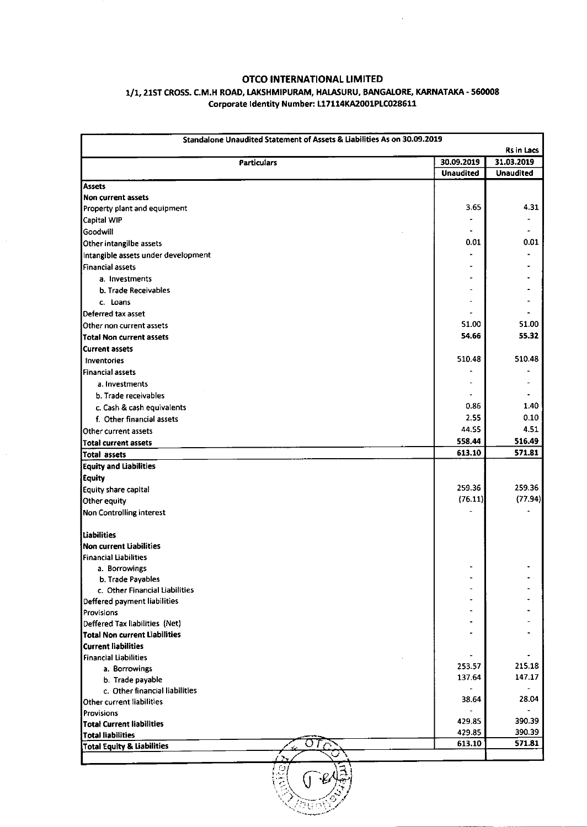# OTCO INTERNATIONAL LIMITED

 $\sim$ 

### 1/1, 21ST CROSS. C.M.H ROAD, LAKSHMIPURAM, HALASURU, BANGALORE, KARNATAKA - 560008 Corporate ldentity Number: 117114KA2001P1C028611

| Standalone Unaudited Statement of Assets & Liabilities As on 30.09.2019<br>Rs in Lacs |                  |                  |  |  |
|---------------------------------------------------------------------------------------|------------------|------------------|--|--|
| <b>Particulars</b>                                                                    | 30.09.2019       | 31.03.2019       |  |  |
|                                                                                       | <b>Unaudited</b> | <b>Unaudited</b> |  |  |
| <b>Assets</b>                                                                         |                  |                  |  |  |
| <b>Non current assets</b>                                                             |                  |                  |  |  |
| Property plant and equipment                                                          | 3.65             | 4.31             |  |  |
| Capital WIP                                                                           |                  |                  |  |  |
| Goodwill                                                                              |                  |                  |  |  |
| Other intangilbe assets                                                               | 0.01             | 0.01             |  |  |
| Intangible assets under development                                                   |                  |                  |  |  |
| Financial assets                                                                      |                  |                  |  |  |
| a. Investments                                                                        |                  |                  |  |  |
| b. Trade Receivables                                                                  |                  |                  |  |  |
| c. Loans                                                                              |                  |                  |  |  |
| Deferred tax asset                                                                    |                  |                  |  |  |
| Other non current assets                                                              | 51.00            | 51.00            |  |  |
| <b>Total Non current assets</b>                                                       | 54.66            | 55.32            |  |  |
| <b>Current assets</b>                                                                 |                  |                  |  |  |
| Inventories                                                                           | 510.48           | 510.48           |  |  |
| <b>Financial assets</b>                                                               |                  |                  |  |  |
| a. Investments                                                                        |                  |                  |  |  |
|                                                                                       |                  |                  |  |  |
| b. Trade receivables                                                                  | 0.86             | 1.40             |  |  |
| c. Cash & cash equivalents                                                            | 2.55             | 0.10             |  |  |
| f. Other financial assets                                                             | 44.55            | 4.51             |  |  |
| Other current assets                                                                  |                  |                  |  |  |
| <b>Total current assets</b>                                                           | 558.44           | 516.49<br>571.81 |  |  |
| Total assets                                                                          | 613.10           |                  |  |  |
| <b>Equity and Liabilities</b>                                                         |                  |                  |  |  |
| <b>Equity</b>                                                                         |                  |                  |  |  |
| Equity share capital                                                                  | 259.36           | 259.36           |  |  |
| Other equity                                                                          | (76.11)          | (77.94)          |  |  |
| Non Controlling interest                                                              |                  |                  |  |  |
| <b>Liabilities</b>                                                                    |                  |                  |  |  |
| <b>Non current Liabilities</b>                                                        |                  |                  |  |  |
| <b>Financial Liabilities</b>                                                          |                  |                  |  |  |
| a. Borrowings                                                                         |                  |                  |  |  |
| b. Trade Payables                                                                     |                  |                  |  |  |
| c. Other Financial Liabilities                                                        |                  |                  |  |  |
| Deffered payment liabilities                                                          |                  |                  |  |  |
| Provisions                                                                            |                  |                  |  |  |
| Deffered Tax liabilities (Net)                                                        |                  |                  |  |  |
| <b>Total Non current Liabilities</b>                                                  |                  |                  |  |  |
| <b>Current liabilities</b>                                                            |                  |                  |  |  |
| <b>Financial Liabilities</b>                                                          | 253.57           | 215.18           |  |  |
| a. Borrowings                                                                         | 137.64           | 147.17           |  |  |
| b. Trade payable                                                                      |                  |                  |  |  |
| c. Other financial liabilities                                                        | 38.64            | 28.04            |  |  |
| Other current liabilities                                                             |                  |                  |  |  |
| <b>Provisions</b>                                                                     | 429.85           | 390.39           |  |  |
| <b>Total Current liabilities</b><br><b>Total liabilities</b>                          | 429.85           | 390.39           |  |  |
| <b>Total Equity &amp; Liabilities</b>                                                 | 613.10           | 571.81           |  |  |
|                                                                                       |                  |                  |  |  |

 $\int$  $\mathcal{L}$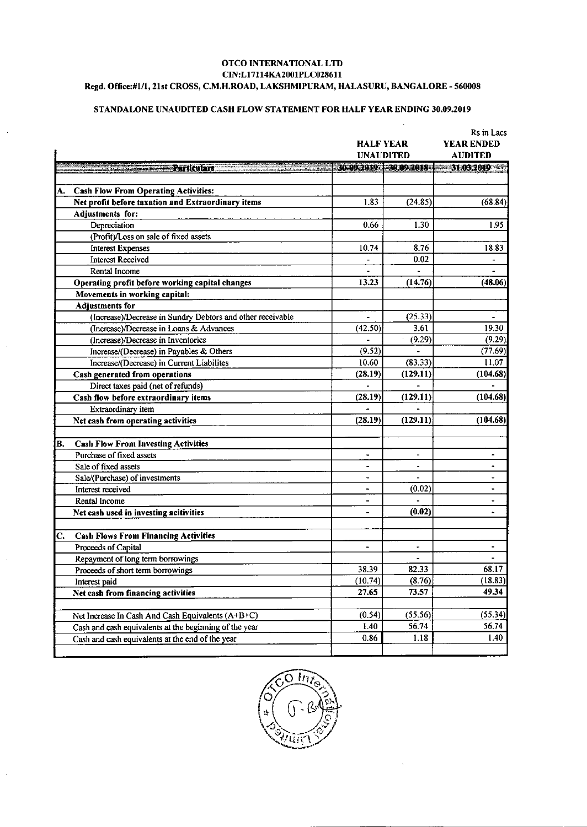#### OTCO INTERNATIONAL LTD CIN:L17114KA2001PLC028611 Regd. Office:#1/1, 21st CROSS, C.M.H.ROAD, LAKSHMIPURAM, HALASURU, BANGALORE - 560008

# STANDALONE UNAUDITED CASH FLOW STATEMENT FOR HALF YEAR ENDING 30.09.2019

|    |                                                            | <b>HALF YEAR</b><br><b>UNAUDITED</b> |                          | KS IN LACS<br><b>YEAR ENDED</b><br><b>AUDITED</b> |  |
|----|------------------------------------------------------------|--------------------------------------|--------------------------|---------------------------------------------------|--|
|    | <b>Particulars</b>                                         | 30 09 2019 30 09 2018                |                          | 31.032019                                         |  |
|    |                                                            |                                      |                          |                                                   |  |
| А. | <b>Cash Flow From Operating Activities:</b>                |                                      |                          |                                                   |  |
|    | Net profit before taxation and Extraordinary items         | 1.83                                 | (24.85)                  | (68.84)                                           |  |
|    | Adjustments for:                                           |                                      |                          |                                                   |  |
|    | Depreciation                                               | 0.66                                 | 1.30                     | 1.95                                              |  |
|    | (Profit)/Loss on sale of fixed assets                      |                                      |                          |                                                   |  |
|    | <b>Interest Expenses</b>                                   | 10.74                                | 8.76                     | 18.83                                             |  |
|    | <b>Interest Received</b>                                   |                                      | 0.02                     |                                                   |  |
|    | Rental Income                                              |                                      |                          | $\blacksquare$                                    |  |
|    | Operating profit before working capital changes            | 13.23                                | (14.76)                  | (48.06)                                           |  |
|    | Movements in working capital:                              |                                      |                          |                                                   |  |
|    | Adjustments for                                            |                                      |                          |                                                   |  |
|    | (Increase)/Decrease in Sundry Debtors and other receivable |                                      | (25.33)                  |                                                   |  |
|    | (Increase)/Decrease in Loans & Advances                    | (42.50)                              | 3.61                     | 19.30                                             |  |
|    | (Increase)/Decrease in Inventories                         |                                      | (9.29)                   | (9.29)                                            |  |
|    | Increase/(Decrease) in Payables & Others                   | (9.52)                               |                          | (77.69)                                           |  |
|    | Increase/(Decrease) in Current Liabilites                  | 10.60                                | (83.33)                  | 11.07                                             |  |
|    | Cash generated from operations                             | (28.19)                              | (129.11)                 | (104.68)                                          |  |
|    | Direct taxes paid (net of refunds)                         |                                      |                          |                                                   |  |
|    | Cash flow before extraordinary items                       | (28.19)                              | (129.11)                 | (104.68)                                          |  |
|    | Extraordinary item                                         |                                      |                          |                                                   |  |
|    | Net cash from operating activities                         | (28.19)                              | (129.11)                 | (104.68)                                          |  |
| B. | <b>Cash Flow From Investing Activities</b>                 |                                      |                          |                                                   |  |
|    | Purchase of fixed assets                                   | $\blacksquare$                       | $\blacksquare$           | -                                                 |  |
|    | Sale of fixed assets                                       | $\overline{\phantom{a}}$             | $\overline{\phantom{a}}$ | ۰                                                 |  |
|    | Sale/(Purchase) of investments                             | $\blacksquare$                       |                          | $\ddot{\phantom{0}}$                              |  |
|    | Interest received                                          | $\blacksquare$                       | (0.02)                   | $\qquad \qquad \bullet$                           |  |
|    | Rental Income                                              | $\blacksquare$                       |                          | $\overline{\phantom{a}}$                          |  |
|    | Net cash used in investing acitivities                     |                                      | (0.02)                   |                                                   |  |
| C. | <b>Cash Flows From Financing Activities</b>                |                                      |                          |                                                   |  |
|    | Proceeds of Capital                                        | $\qquad \qquad \blacksquare$         | $\overline{\phantom{a}}$ | -                                                 |  |
|    | Repayment of long term borrowings                          |                                      |                          |                                                   |  |
|    | Proceeds of short term borrowings                          | 38.39                                | 82.33                    | 68.17                                             |  |
|    | Interest paid                                              | (10.74)                              | (8.76)                   | (18.83)                                           |  |
|    | Net cash from financing activities                         | 27.65                                | 73.57                    | 49.34                                             |  |
|    |                                                            |                                      |                          |                                                   |  |
|    | Net Increase In Cash And Cash Equivalents (A+B+C)          | (0.54)                               | (55.56)                  | (55.34)                                           |  |
|    | Cash and cash equivalents at the beginning of the year     | 1.40                                 | 56.74                    | 56.74                                             |  |
|    | Cash and cash equivalents at the end of the year           | 0.86                                 | 1.18                     | 1.40                                              |  |
|    |                                                            |                                      |                          |                                                   |  |